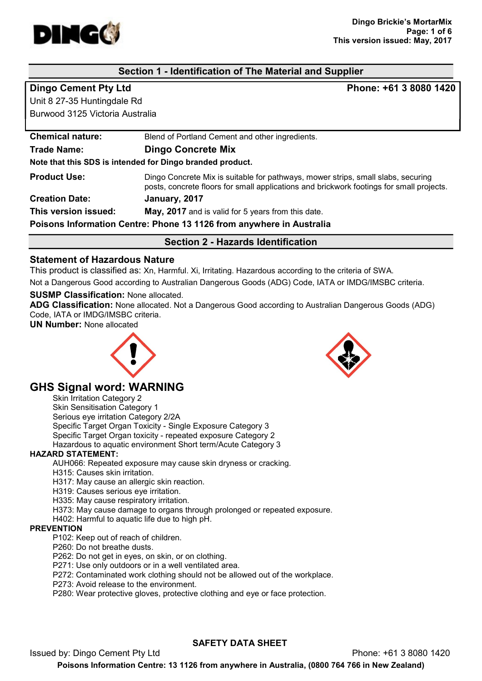

# Section 1 - Identification of The Material and Supplier

Unit 8 27-35 Huntingdale Rd Burwood 3125 Victoria Australia

Dingo Cement Pty Ltd **Phone: +61 3 8080 1420** 

| <b>Creation Date:</b><br>This version issued:                                                                | January, 2017<br>May, 2017 and is valid for 5 years from this date.                                                                                                          |  |
|--------------------------------------------------------------------------------------------------------------|------------------------------------------------------------------------------------------------------------------------------------------------------------------------------|--|
| <b>Product Use:</b>                                                                                          | Dingo Concrete Mix is suitable for pathways, mower strips, small slabs, securing<br>posts, concrete floors for small applications and brickwork footings for small projects. |  |
| <b>Dingo Concrete Mix</b><br><b>Trade Name:</b><br>Note that this SDS is intended for Dingo branded product. |                                                                                                                                                                              |  |
| <b>Chemical nature:</b>                                                                                      | Blend of Portland Cement and other ingredients.                                                                                                                              |  |

#### Statement of Hazardous Nature

This product is classified as: Xn, Harmful. Xi, Irritating. Hazardous according to the criteria of SWA.

Not a Dangerous Good according to Australian Dangerous Goods (ADG) Code, IATA or IMDG/IMSBC criteria.

#### SUSMP Classification: None allocated.

ADG Classification: None allocated. Not a Dangerous Good according to Australian Dangerous Goods (ADG) Code, IATA or IMDG/IMSBC criteria.

UN Number: None allocated



# GHS Signal word: WARNING

Skin Irritation Category 2 Skin Sensitisation Category 1 Serious eye irritation Category 2/2A Specific Target Organ Toxicity - Single Exposure Category 3 Specific Target Organ toxicity - repeated exposure Category 2 Hazardous to aquatic environment Short term/Acute Category 3

#### HAZARD STATEMENT:

AUH066: Repeated exposure may cause skin dryness or cracking.

- H315: Causes skin irritation.
- H317: May cause an allergic skin reaction.
- H319: Causes serious eye irritation.
- H335: May cause respiratory irritation.
- H373: May cause damage to organs through prolonged or repeated exposure.
- H402: Harmful to aquatic life due to high pH.

#### **PREVENTION**

- P102: Keep out of reach of children.
- P260: Do not breathe dusts.
- P262: Do not get in eyes, on skin, or on clothing.
- P271: Use only outdoors or in a well ventilated area.
- P272: Contaminated work clothing should not be allowed out of the workplace.
- P273: Avoid release to the environment.

P280: Wear protective gloves, protective clothing and eye or face protection.

Issued by: Dingo Cement Pty Ltd **Phone: +61 3 8080 1420** 

# SAFETY DATA SHEET

Poisons Information Centre: 13 1126 from anywhere in Australia, (0800 764 766 in New Zealand)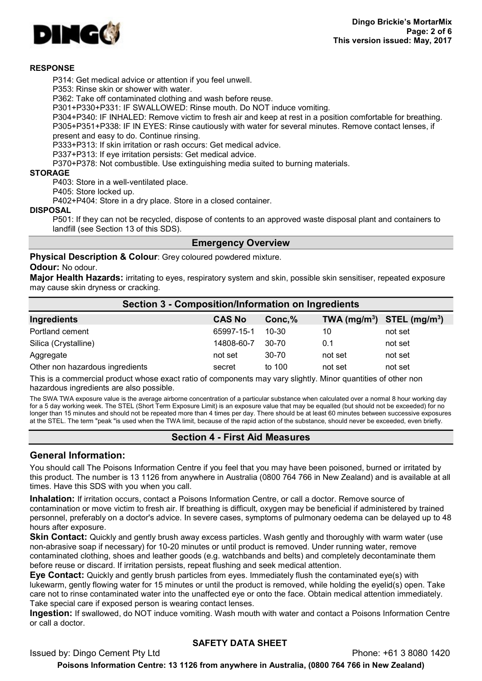

#### RESPONSE

P314: Get medical advice or attention if you feel unwell.

P353: Rinse skin or shower with water.

P362: Take off contaminated clothing and wash before reuse.

P301+P330+P331: IF SWALLOWED: Rinse mouth. Do NOT induce vomiting.

P304+P340: IF INHALED: Remove victim to fresh air and keep at rest in a position comfortable for breathing. P305+P351+P338: IF IN EYES: Rinse cautiously with water for several minutes. Remove contact lenses, if present and easy to do. Continue rinsing.

P333+P313: If skin irritation or rash occurs: Get medical advice.

P337+P313: If eye irritation persists: Get medical advice.

P370+P378: Not combustible. Use extinguishing media suited to burning materials.

#### **STORAGE**

P403: Store in a well-ventilated place.

P405: Store locked up.

P402+P404: Store in a dry place. Store in a closed container.

#### DISPOSAL

P501: If they can not be recycled, dispose of contents to an approved waste disposal plant and containers to landfill (see Section 13 of this SDS).

#### Emergency Overview

Physical Description & Colour: Grey coloured powdered mixture.

#### Odour: No odour.

Major Health Hazards: irritating to eyes, respiratory system and skin, possible skin sensitiser, repeated exposure may cause skin dryness or cracking.

| Section 3 - Composition/Information on Ingredients |               |           |                                |         |
|----------------------------------------------------|---------------|-----------|--------------------------------|---------|
| Ingredients                                        | <b>CAS No</b> | Conc, %   | TWA $(mg/m^3)$ STEL $(mg/m^3)$ |         |
| Portland cement                                    | 65997-15-1    | $10 - 30$ | 10                             | not set |
| Silica (Crystalline)                               | 14808-60-7    | 30-70     | 0.1                            | not set |
| Aggregate                                          | not set       | 30-70     | not set                        | not set |
| Other non hazardous ingredients                    | secret        | to 100    | not set                        | not set |

This is a commercial product whose exact ratio of components may vary slightly. Minor quantities of other non hazardous ingredients are also possible.

The SWA TWA exposure value is the average airborne concentration of a particular substance when calculated over a normal 8 hour working day for a 5 day working week. The STEL (Short Term Exposure Limit) is an exposure value that may be equalled (but should not be exceeded) for no longer than 15 minutes and should not be repeated more than 4 times per day. There should be at least 60 minutes between successive exposures at the STEL. The term "peak "is used when the TWA limit, because of the rapid action of the substance, should never be exceeded, even briefly.

# Section 4 - First Aid Measures

# General Information:

You should call The Poisons Information Centre if you feel that you may have been poisoned, burned or irritated by this product. The number is 13 1126 from anywhere in Australia (0800 764 766 in New Zealand) and is available at all times. Have this SDS with you when you call.

Inhalation: If irritation occurs, contact a Poisons Information Centre, or call a doctor. Remove source of contamination or move victim to fresh air. If breathing is difficult, oxygen may be beneficial if administered by trained personnel, preferably on a doctor's advice. In severe cases, symptoms of pulmonary oedema can be delayed up to 48 hours after exposure.

**Skin Contact:** Quickly and gently brush away excess particles. Wash gently and thoroughly with warm water (use non-abrasive soap if necessary) for 10-20 minutes or until product is removed. Under running water, remove contaminated clothing, shoes and leather goods (e.g. watchbands and belts) and completely decontaminate them before reuse or discard. If irritation persists, repeat flushing and seek medical attention.

Eye Contact: Quickly and gently brush particles from eyes. Immediately flush the contaminated eye(s) with lukewarm, gently flowing water for 15 minutes or until the product is removed, while holding the eyelid(s) open. Take care not to rinse contaminated water into the unaffected eye or onto the face. Obtain medical attention immediately. Take special care if exposed person is wearing contact lenses.

Ingestion: If swallowed, do NOT induce vomiting. Wash mouth with water and contact a Poisons Information Centre or call a doctor.

# SAFETY DATA SHEET

Issued by: Dingo Cement Pty Ltd Phone: +61 3 8080 1420

Poisons Information Centre: 13 1126 from anywhere in Australia, (0800 764 766 in New Zealand)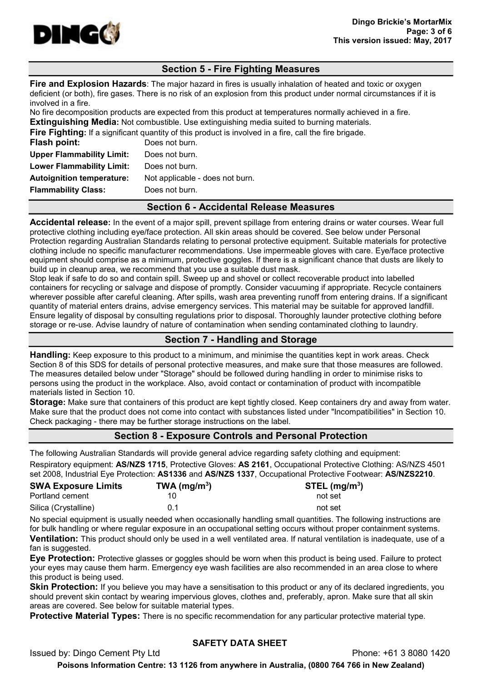

# Section 5 - Fire Fighting Measures

**Fire and Explosion Hazards:** The major hazard in fires is usually inhalation of heated and toxic or oxygen deficient (or both), fire gases. There is no risk of an explosion from this product under normal circumstances if it is involved in a fire.

No fire decomposition products are expected from this product at temperatures normally achieved in a fire. **Extinguishing Media:** Not combustible. Use extinguishing media suited to burning materials.

**Fire Fighting:** If a significant quantity of this product is involved in a fire, call the fire brigade.

| Flash point:                     | Does not burn.                  |
|----------------------------------|---------------------------------|
| <b>Upper Flammability Limit:</b> | Does not burn.                  |
| <b>Lower Flammability Limit:</b> | Does not burn.                  |
| <b>Autoignition temperature:</b> | Not applicable - does not burn. |
| <b>Flammability Class:</b>       | Does not burn.                  |
|                                  |                                 |

#### Section 6 - Accidental Release Measures

Accidental release: In the event of a major spill, prevent spillage from entering drains or water courses. Wear full protective clothing including eye/face protection. All skin areas should be covered. See below under Personal Protection regarding Australian Standards relating to personal protective equipment. Suitable materials for protective clothing include no specific manufacturer recommendations. Use impermeable gloves with care. Eye/face protective equipment should comprise as a minimum, protective goggles. If there is a significant chance that dusts are likely to build up in cleanup area, we recommend that you use a suitable dust mask.

Stop leak if safe to do so and contain spill. Sweep up and shovel or collect recoverable product into labelled containers for recycling or salvage and dispose of promptly. Consider vacuuming if appropriate. Recycle containers wherever possible after careful cleaning. After spills, wash area preventing runoff from entering drains. If a significant quantity of material enters drains, advise emergency services. This material may be suitable for approved landfill. Ensure legality of disposal by consulting regulations prior to disposal. Thoroughly launder protective clothing before storage or re-use. Advise laundry of nature of contamination when sending contaminated clothing to laundry.

#### Section 7 - Handling and Storage

Handling: Keep exposure to this product to a minimum, and minimise the quantities kept in work areas. Check Section 8 of this SDS for details of personal protective measures, and make sure that those measures are followed. The measures detailed below under "Storage" should be followed during handling in order to minimise risks to persons using the product in the workplace. Also, avoid contact or contamination of product with incompatible materials listed in Section 10.

Storage: Make sure that containers of this product are kept tightly closed. Keep containers dry and away from water. Make sure that the product does not come into contact with substances listed under "Incompatibilities" in Section 10. Check packaging - there may be further storage instructions on the label.

# Section 8 - Exposure Controls and Personal Protection

The following Australian Standards will provide general advice regarding safety clothing and equipment: Respiratory equipment: AS/NZS 1715, Protective Gloves: AS 2161, Occupational Protective Clothing: AS/NZS 4501 set 2008, Industrial Eye Protection: AS1336 and AS/NZS 1337, Occupational Protective Footwear: AS/NZS2210.

| <b>SWA Exposure Limits</b> | TWA (mg/m <sup>3</sup> ) | STEL $(mg/m3)$ |
|----------------------------|--------------------------|----------------|
| Portland cement            |                          | not set        |
| Silica (Crystalline)       | በ 1                      | not set        |

No special equipment is usually needed when occasionally handling small quantities. The following instructions are for bulk handling or where regular exposure in an occupational setting occurs without proper containment systems. Ventilation: This product should only be used in a well ventilated area. If natural ventilation is inadequate, use of a fan is suggested.

Eye Protection: Protective glasses or goggles should be worn when this product is being used. Failure to protect your eyes may cause them harm. Emergency eye wash facilities are also recommended in an area close to where this product is being used.

Skin Protection: If you believe you may have a sensitisation to this product or any of its declared ingredients, you should prevent skin contact by wearing impervious gloves, clothes and, preferably, apron. Make sure that all skin areas are covered. See below for suitable material types.

Protective Material Types: There is no specific recommendation for any particular protective material type.

# SAFETY DATA SHEET

Issued by: Dingo Cement Pty Ltd Phone: +61 3 8080 1420

Poisons Information Centre: 13 1126 from anywhere in Australia, (0800 764 766 in New Zealand)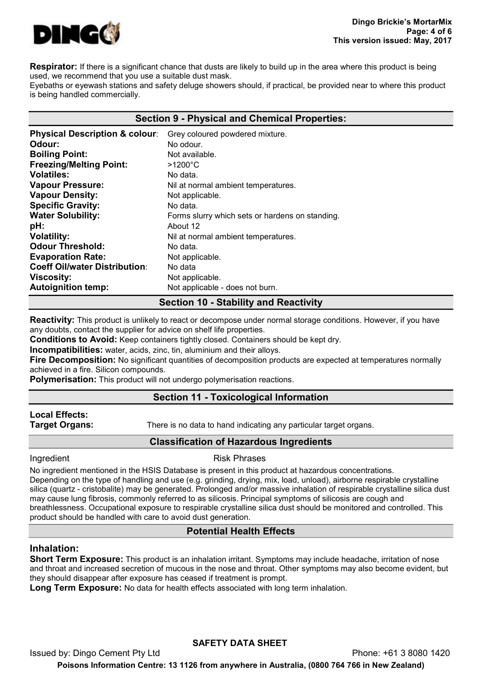

**Respirator:** If there is a significant chance that dusts are likely to build up in the area where this product is being used, we recommend that you use a suitable dust mask.

Eyebaths or eyewash stations and safety deluge showers should, if practical, be provided near to where this product is being handled commercially.

#### Section 9 - Physical and Chemical Properties:

| <b>Physical Description &amp; colour:</b> | Grey coloured powdered mixture.                 |
|-------------------------------------------|-------------------------------------------------|
| Odour:                                    | No odour.                                       |
| <b>Boiling Point:</b>                     | Not available.                                  |
| <b>Freezing/Melting Point:</b>            | $>1200^{\circ}$ C                               |
| <b>Volatiles:</b>                         | No data.                                        |
| <b>Vapour Pressure:</b>                   | Nil at normal ambient temperatures.             |
| <b>Vapour Density:</b>                    | Not applicable.                                 |
| <b>Specific Gravity:</b>                  | No data.                                        |
| <b>Water Solubility:</b>                  | Forms slurry which sets or hardens on standing. |
| pH:                                       | About 12                                        |
| <b>Volatility:</b>                        | Nil at normal ambient temperatures.             |
| <b>Odour Threshold:</b>                   | No data.                                        |
| <b>Evaporation Rate:</b>                  | Not applicable.                                 |
| <b>Coeff Oil/water Distribution:</b>      | No data                                         |
| <b>Viscosity:</b>                         | Not applicable.                                 |
| <b>Autoignition temp:</b>                 | Not applicable - does not burn.                 |
|                                           |                                                 |

# Section 10 - Stability and Reactivity

Reactivity: This product is unlikely to react or decompose under normal storage conditions. However, if you have any doubts, contact the supplier for advice on shelf life properties.

Conditions to Avoid: Keep containers tightly closed. Containers should be kept dry.

Incompatibilities: water, acids, zinc, tin, aluminium and their alloys.

Fire Decomposition: No significant quantities of decomposition products are expected at temperatures normally achieved in a fire. Silicon compounds.

Polymerisation: This product will not undergo polymerisation reactions.

#### Section 11 - Toxicological Information

# Local Effects:

**Target Organs:** There is no data to hand indicating any particular target organs.

# Classification of Hazardous Ingredients

Ingredient **Risk Phrases** 

No ingredient mentioned in the HSIS Database is present in this product at hazardous concentrations. Depending on the type of handling and use (e.g. grinding, drying, mix, load, unload), airborne respirable crystalline silica (quartz - cristobalite) may be generated. Prolonged and/or massive inhalation of respirable crystalline silica dust may cause lung fibrosis, commonly referred to as silicosis. Principal symptoms of silicosis are cough and breathlessness. Occupational exposure to respirable crystalline silica dust should be monitored and controlled. This product should be handled with care to avoid dust generation.

# Potential Health Effects

#### Inhalation:

Short Term Exposure: This product is an inhalation irritant. Symptoms may include headache, irritation of nose and throat and increased secretion of mucous in the nose and throat. Other symptoms may also become evident, but they should disappear after exposure has ceased if treatment is prompt.

Long Term Exposure: No data for health effects associated with long term inhalation.

# SAFETY DATA SHEET

Issued by: Dingo Cement Pty Ltd Phone: +61 3 8080 1420 Poisons Information Centre: 13 1126 from anywhere in Australia, (0800 764 766 in New Zealand)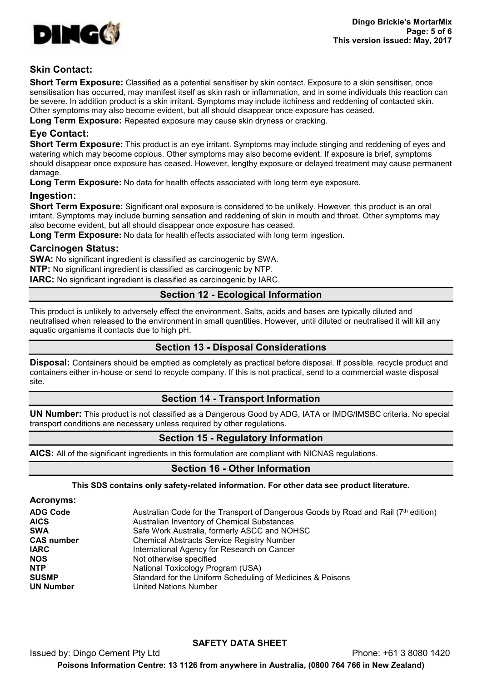

# Skin Contact:

Short Term Exposure: Classified as a potential sensitiser by skin contact. Exposure to a skin sensitiser, once sensitisation has occurred, may manifest itself as skin rash or inflammation, and in some individuals this reaction can be severe. In addition product is a skin irritant. Symptoms may include itchiness and reddening of contacted skin. Other symptoms may also become evident, but all should disappear once exposure has ceased.

Long Term Exposure: Repeated exposure may cause skin dryness or cracking.

# Eye Contact:

**Short Term Exposure:** This product is an eye irritant. Symptoms may include stinging and reddening of eyes and watering which may become copious. Other symptoms may also become evident. If exposure is brief, symptoms should disappear once exposure has ceased. However, lengthy exposure or delayed treatment may cause permanent damage.

Long Term Exposure: No data for health effects associated with long term eye exposure.

#### Ingestion:

**Short Term Exposure:** Significant oral exposure is considered to be unlikely. However, this product is an oral irritant. Symptoms may include burning sensation and reddening of skin in mouth and throat. Other symptoms may also become evident, but all should disappear once exposure has ceased.

Long Term Exposure: No data for health effects associated with long term ingestion.

# Carcinogen Status:

SWA: No significant ingredient is classified as carcinogenic by SWA.

NTP: No significant ingredient is classified as carcinogenic by NTP.

IARC: No significant ingredient is classified as carcinogenic by IARC.

# Section 12 - Ecological Information

This product is unlikely to adversely effect the environment. Salts, acids and bases are typically diluted and neutralised when released to the environment in small quantities. However, until diluted or neutralised it will kill any aquatic organisms it contacts due to high pH.

#### Section 13 - Disposal Considerations

Disposal: Containers should be emptied as completely as practical before disposal. If possible, recycle product and containers either in-house or send to recycle company. If this is not practical, send to a commercial waste disposal site.

# Section 14 - Transport Information

UN Number: This product is not classified as a Dangerous Good by ADG, IATA or IMDG/IMSBC criteria. No special transport conditions are necessary unless required by other regulations.

# Section 15 - Regulatory Information

AICS: All of the significant ingredients in this formulation are compliant with NICNAS regulations.

# Section 16 - Other Information

This SDS contains only safety-related information. For other data see product literature.

#### Acronyms:

| <b>ADG Code</b>   | Australian Code for the Transport of Dangerous Goods by Road and Rail (7th edition) |
|-------------------|-------------------------------------------------------------------------------------|
| <b>AICS</b>       | Australian Inventory of Chemical Substances                                         |
| <b>SWA</b>        | Safe Work Australia, formerly ASCC and NOHSC                                        |
| <b>CAS number</b> | <b>Chemical Abstracts Service Registry Number</b>                                   |
| <b>IARC</b>       | International Agency for Research on Cancer                                         |
| <b>NOS</b>        | Not otherwise specified                                                             |
| <b>NTP</b>        | National Toxicology Program (USA)                                                   |
| <b>SUSMP</b>      | Standard for the Uniform Scheduling of Medicines & Poisons                          |
| <b>UN Number</b>  | <b>United Nations Number</b>                                                        |

# SAFETY DATA SHEET

Issued by: Dingo Cement Pty Ltd Phone: +61 3 8080 1420 Poisons Information Centre: 13 1126 from anywhere in Australia, (0800 764 766 in New Zealand)